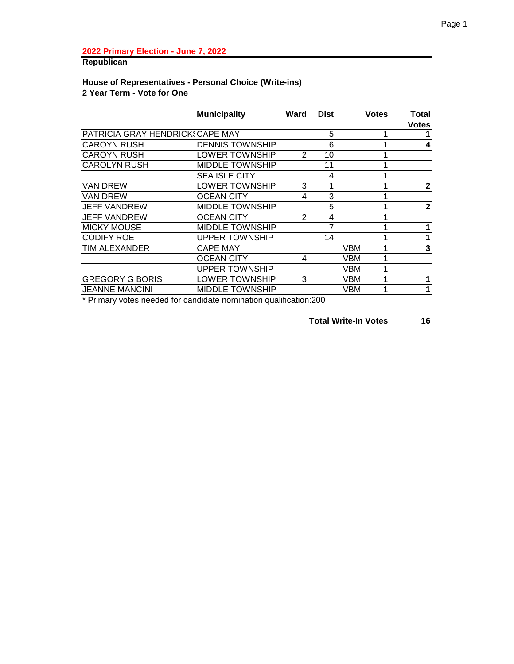# **Republican**

# **House of Representatives - Personal Choice (Write-ins) 2 Year Term - Vote for One**

|                                 | <b>Municipality</b>    | Ward | <b>Dist</b> | <b>Votes</b> | Total<br><b>Votes</b> |
|---------------------------------|------------------------|------|-------------|--------------|-----------------------|
| PATRICIA GRAY HENDRICK CAPE MAY |                        |      | 5           |              |                       |
| <b>CAROYN RUSH</b>              | <b>DENNIS TOWNSHIP</b> |      | 6           |              | 4                     |
| <b>CAROYN RUSH</b>              | LOWER TOWNSHIP         | 2    | 10          |              |                       |
| <b>CAROLYN RUSH</b>             | <b>MIDDLE TOWNSHIP</b> |      | 11          |              |                       |
|                                 | SEA ISLE CITY          |      | 4           |              |                       |
| <b>VAN DREW</b>                 | LOWER TOWNSHIP         | 3    | 1           |              | $\mathbf{2}$          |
| <b>VAN DREW</b>                 | OCEAN CITY             | 4    | 3           |              |                       |
| <b>JEFF VANDREW</b>             | <b>MIDDLE TOWNSHIP</b> |      | 5           |              | $\mathbf{2}$          |
| <b>JEFF VANDREW</b>             | <b>OCEAN CITY</b>      | 2    | 4           |              |                       |
| <b>MICKY MOUSE</b>              | <b>MIDDLE TOWNSHIP</b> |      |             |              |                       |
| <b>CODIFY ROE</b>               | <b>UPPER TOWNSHIP</b>  |      | 14          |              |                       |
| TIM ALEXANDER                   | <b>CAPE MAY</b>        |      |             | VBM          | 3                     |
|                                 | OCEAN CITY             | 4    |             | VBM          |                       |
|                                 | <b>UPPER TOWNSHIP</b>  |      |             | VBM          |                       |
| <b>GREGORY G BORIS</b>          | LOWER TOWNSHIP         | 3    |             | VBM          |                       |
| <b>JEANNE MANCINI</b>           | MIDDLE TOWNSHIP        |      |             | VBM          |                       |

\* Primary votes needed for candidate nomination qualification:200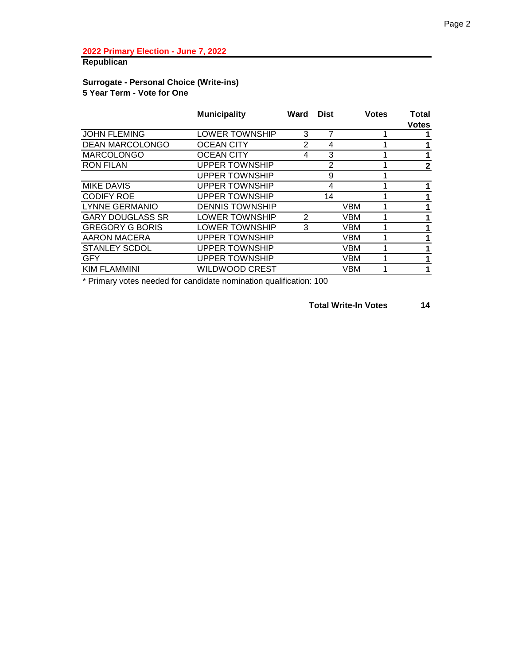# **Republican**

### **Surrogate - Personal Choice (Write-ins) 5 Year Term - Vote for One**

|                         | <b>Municipality</b>    | Ward | <b>Dist</b>    | <b>Votes</b> | Total<br><b>Votes</b> |
|-------------------------|------------------------|------|----------------|--------------|-----------------------|
| <b>JOHN FLEMING</b>     | LOWER TOWNSHIP         | 3    | 7              |              |                       |
| <b>DEAN MARCOLONGO</b>  | <b>OCEAN CITY</b>      | 2    | 4              |              | 1                     |
| <b>MARCOLONGO</b>       | <b>OCEAN CITY</b>      | 4    | 3              |              | 1                     |
| <b>RON FILAN</b>        | <b>UPPER TOWNSHIP</b>  |      | $\overline{2}$ |              | $\mathbf{2}$          |
|                         | <b>UPPER TOWNSHIP</b>  |      | 9              |              |                       |
| <b>MIKE DAVIS</b>       | <b>UPPER TOWNSHIP</b>  |      | 4              |              | 1                     |
| <b>CODIFY ROE</b>       | <b>UPPER TOWNSHIP</b>  |      | 14             |              | 1                     |
| <b>LYNNE GERMANIO</b>   | <b>DENNIS TOWNSHIP</b> |      |                | <b>VBM</b>   | 1                     |
| <b>GARY DOUGLASS SR</b> | <b>LOWER TOWNSHIP</b>  | 2    |                | <b>VBM</b>   | 1                     |
| <b>GREGORY G BORIS</b>  | LOWER TOWNSHIP         | 3    |                | <b>VBM</b>   | 1                     |
| <b>AARON MACERA</b>     | <b>UPPER TOWNSHIP</b>  |      |                | VBM          | 1                     |
| <b>STANLEY SCDOL</b>    | <b>UPPER TOWNSHIP</b>  |      |                | <b>VBM</b>   | 1                     |
| <b>GFY</b>              | <b>UPPER TOWNSHIP</b>  |      |                | <b>VBM</b>   | 1                     |
| <b>KIM FLAMMINI</b>     | <b>WILDWOOD CREST</b>  |      |                | <b>VBM</b>   | 1                     |
|                         |                        |      |                |              |                       |

\* Primary votes needed for candidate nomination qualification: 100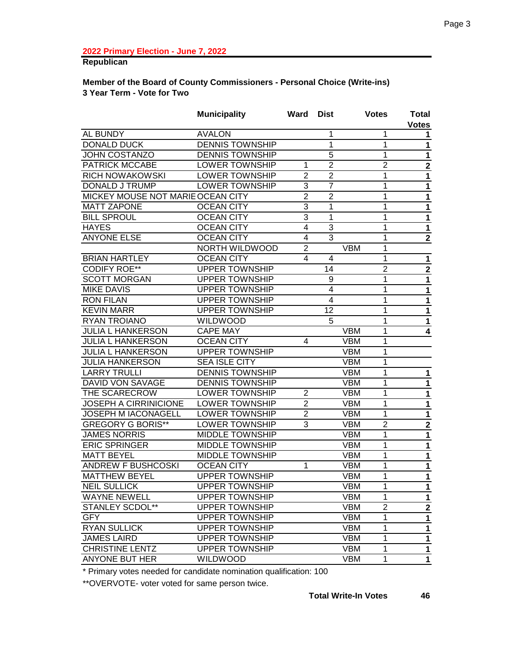# **Republican**

#### **Member of the Board of County Commissioners - Personal Choice (Write-ins) 3 Year Term - Vote for Two**

|                                   | <b>Municipality</b>    | Ward                    | <b>Dist</b>    |            | <b>Votes</b>   | <b>Total</b>   |
|-----------------------------------|------------------------|-------------------------|----------------|------------|----------------|----------------|
|                                   |                        |                         |                |            |                | <b>Votes</b>   |
| AL BUNDY                          | <b>AVALON</b>          |                         | 1              |            | 1              | 1.             |
| <b>DONALD DUCK</b>                | <b>DENNIS TOWNSHIP</b> |                         | 1              |            | 1              | 1              |
| <b>JOHN COSTANZO</b>              | <b>DENNIS TOWNSHIP</b> |                         | $\overline{5}$ |            | 1              | 1              |
| <b>PATRICK MCCABE</b>             | LOWER TOWNSHIP         | 1                       | $\overline{2}$ |            | $\overline{2}$ | $\mathbf 2$    |
| <b>RICH NOWAKOWSKI</b>            | LOWER TOWNSHIP         | $\overline{2}$          | $\overline{2}$ |            | 1              | 1              |
| <b>DONALD J TRUMP</b>             | <b>LOWER TOWNSHIP</b>  | 3                       | $\overline{7}$ |            | 1              | $\mathbf{1}$   |
| MICKEY MOUSE NOT MARIE OCEAN CITY |                        | $\overline{2}$          | $\overline{2}$ |            | 1              | 1              |
| <b>MATT ZAPONE</b>                | <b>OCEAN CITY</b>      | $\overline{3}$          | 1              |            | 1              | 1              |
| <b>BILL SPROUL</b>                | <b>OCEAN CITY</b>      | 3                       | 1              |            | 1              | $\mathbf 1$    |
| <b>HAYES</b>                      | <b>OCEAN CITY</b>      | $\overline{\mathbf{4}}$ | $\overline{3}$ |            | 1              | $\mathbf 1$    |
| <b>ANYONE ELSE</b>                | <b>OCEAN CITY</b>      | 4                       | 3              |            | 1              | $\overline{2}$ |
|                                   | NORTH WILDWOOD         | $\overline{2}$          |                | <b>VBM</b> | 1              |                |
| <b>BRIAN HARTLEY</b>              | <b>OCEAN CITY</b>      | 4                       | 4              |            | 1              | $\mathbf{1}$   |
| <b>CODIFY ROE**</b>               | <b>UPPER TOWNSHIP</b>  |                         | 14             |            | $\overline{2}$ | $\overline{2}$ |
| <b>SCOTT MORGAN</b>               | <b>UPPER TOWNSHIP</b>  |                         | 9              |            | 1              | $\mathbf{1}$   |
| <b>MIKE DAVIS</b>                 | <b>UPPER TOWNSHIP</b>  |                         | $\overline{4}$ |            | 1              | 1              |
| <b>RON FILAN</b>                  | <b>UPPER TOWNSHIP</b>  |                         | $\overline{4}$ |            | 1              | 1              |
| <b>KEVIN MARR</b>                 | <b>UPPER TOWNSHIP</b>  |                         | 12             |            | 1              | $\mathbf 1$    |
| RYAN TROIANO                      | <b>WILDWOOD</b>        |                         | 5              |            | 1              | 1              |
| <b>JULIA L HANKERSON</b>          | <b>CAPE MAY</b>        |                         |                | <b>VBM</b> | 1              | 4              |
| <b>JULIA L HANKERSON</b>          | <b>OCEAN CITY</b>      | 4                       |                | <b>VBM</b> | 1              |                |
| <b>JULIA L HANKERSON</b>          | <b>UPPER TOWNSHIP</b>  |                         |                | <b>VBM</b> | 1              |                |
| <b>JULIA HANKERSON</b>            | <b>SEA ISLE CITY</b>   |                         |                | <b>VBM</b> | 1              |                |
| <b>LARRY TRULLI</b>               | <b>DENNIS TOWNSHIP</b> |                         |                | <b>VBM</b> | 1              | 1              |
| DAVID VON SAVAGE                  | <b>DENNIS TOWNSHIP</b> |                         |                | <b>VBM</b> | 1              | $\mathbf{1}$   |
| THE SCARECROW                     | LOWER TOWNSHIP         | $\overline{2}$          |                | <b>VBM</b> | 1              | $\mathbf{1}$   |
| <b>JOSEPH A CIRRINICIONE</b>      | LOWER TOWNSHIP         | $\overline{2}$          |                | <b>VBM</b> | 1              | $\mathbf 1$    |
| <b>JOSEPH M IACONAGELL</b>        | LOWER TOWNSHIP         | $\overline{2}$          |                | <b>VBM</b> | 1              | $\mathbf 1$    |
| <b>GREGORY G BORIS**</b>          | <b>LOWER TOWNSHIP</b>  | 3                       |                | <b>VBM</b> | $\overline{2}$ | $\mathbf 2$    |
| <b>JAMES NORRIS</b>               | <b>MIDDLE TOWNSHIP</b> |                         |                | <b>VBM</b> | 1              | $\mathbf{1}$   |
| <b>ERIC SPRINGER</b>              | <b>MIDDLE TOWNSHIP</b> |                         |                | <b>VBM</b> | 1              | $\mathbf{1}$   |
| MATT BEYEL                        | <b>MIDDLE TOWNSHIP</b> |                         |                | <b>VBM</b> | 1              | $\mathbf{1}$   |
| <b>ANDREW F BUSHCOSKI</b>         | <b>OCEAN CITY</b>      | 1                       |                | <b>VBM</b> | 1              | $\mathbf 1$    |
| <b>MATTHEW BEYEL</b>              | <b>UPPER TOWNSHIP</b>  |                         |                | <b>VBM</b> | 1              | 1              |
| <b>NEIL SULLICK</b>               | <b>UPPER TOWNSHIP</b>  |                         |                | <b>VBM</b> | $\mathbf 1$    | $\mathbf 1$    |
| <b>WAYNE NEWELL</b>               | <b>UPPER TOWNSHIP</b>  |                         |                | <b>VBM</b> | $\mathbf{1}$   | $\mathbf 1$    |
| <b>STANLEY SCDOL**</b>            | <b>UPPER TOWNSHIP</b>  |                         |                | <b>VBM</b> | $\overline{2}$ | $\mathbf 2$    |
| <b>GFY</b>                        | <b>UPPER TOWNSHIP</b>  |                         |                | <b>VBM</b> | 1              | $\mathbf{1}$   |
| <b>RYAN SULLICK</b>               | <b>UPPER TOWNSHIP</b>  |                         |                | <b>VBM</b> | 1              | $\mathbf{1}$   |
| <b>JAMES LAIRD</b>                | <b>UPPER TOWNSHIP</b>  |                         |                | <b>VBM</b> | 1              | 1              |
| <b>CHRISTINE LENTZ</b>            | <b>UPPER TOWNSHIP</b>  |                         |                | <b>VBM</b> | 1              | $\mathbf{1}$   |
| ANYONE BUT HER                    | <b>WILDWOOD</b>        |                         |                | <b>VBM</b> | 1              | $\mathbf 1$    |
|                                   |                        |                         |                |            |                |                |

\* Primary votes needed for candidate nomination qualification: 100

\*\*OVERVOTE- voter voted for same person twice.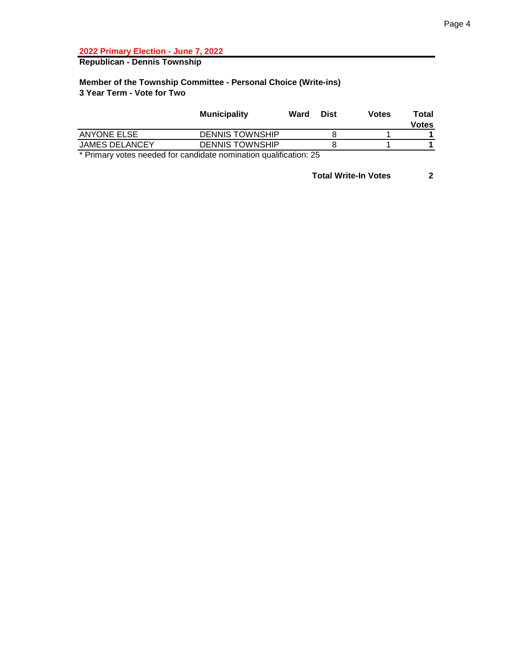**Republican - Dennis Township**

## **Member of the Township Committee - Personal Choice (Write-ins) 3 Year Term - Vote for Two**

|                             | <b>Municipality</b>    | Ward   | Dist       | <b>Votes</b> | Total<br><b>Votes</b> |
|-----------------------------|------------------------|--------|------------|--------------|-----------------------|
| <b>ANYONE ELSE</b>          | <b>DENNIS TOWNSHIP</b> |        |            |              |                       |
| <b>JAMES DELANCEY</b>       | <b>DENNIS TOWNSHIP</b> |        |            |              |                       |
| $\sim$ $\sim$ $\sim$<br>. . | <br>.                  | $\sim$ | $\sim$ $-$ |              |                       |

\* Primary votes needed for candidate nomination qualification: 25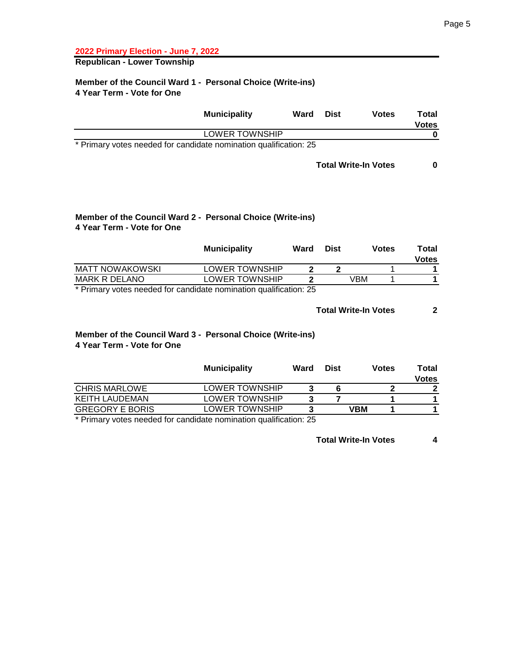**Republican - Lower Township**

#### **Member of the Council Ward 1 - Personal Choice (Write-ins) 4 Year Term - Vote for One**

|                                                                   | <b>Municipality</b> | Ward | <b>Dist</b> | <b>Votes</b> | Total<br><b>Votes</b> |
|-------------------------------------------------------------------|---------------------|------|-------------|--------------|-----------------------|
| LOWER TOWNSHIP                                                    |                     |      |             |              |                       |
| * Primary votes needed for candidate nomination qualification: 25 |                     |      |             |              |                       |

#### **Total Write-In Votes 0**

## **Member of the Council Ward 2 - Personal Choice (Write-ins) 4 Year Term - Vote for One**

|                        | <b>Municipality</b> | Ward | <b>Dist</b> | Votes | ⊤otal<br><b>Votes</b> |
|------------------------|---------------------|------|-------------|-------|-----------------------|
| <b>MATT NOWAKOWSKI</b> | LOWER TOWNSHIP      |      |             |       |                       |
| MARK R DELANO          | LOWER TOWNSHIP      |      |             | VBM   |                       |
|                        |                     |      |             |       |                       |

\* Primary votes needed for candidate nomination qualification: 25

#### **Total Write-In Votes 2**

#### **Member of the Council Ward 3 - Personal Choice (Write-ins) 4 Year Term - Vote for One**

|                        | <b>Municipality</b>   | Ward | <b>Dist</b> | <b>Votes</b> | Total<br>Votes |
|------------------------|-----------------------|------|-------------|--------------|----------------|
| <b>CHRIS MARLOWE</b>   | <b>LOWER TOWNSHIP</b> |      |             |              |                |
| KEITH LAUDEMAN         | <b>LOWER TOWNSHIP</b> |      |             |              |                |
| <b>GREGORY E BORIS</b> | LOWER TOWNSHIP        |      |             | VBM          |                |
|                        |                       |      |             |              |                |

\* Primary votes needed for candidate nomination qualification: 25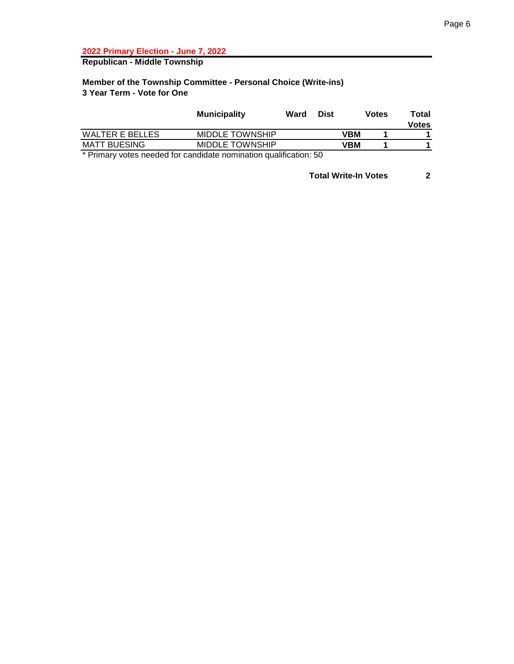**Republican - Middle Township**

### **Member of the Township Committee - Personal Choice (Write-ins) 3 Year Term - Vote for One**

|                        | <b>Municipality</b>    | Ward | Dist |     | Votes | Total<br><b>Votes</b> |
|------------------------|------------------------|------|------|-----|-------|-----------------------|
| <b>WALTER E BELLES</b> | <b>MIDDLE TOWNSHIP</b> |      |      | VBM |       |                       |
| <b>MATT BUESING</b>    | <b>MIDDLE TOWNSHIP</b> |      |      | VBM |       |                       |
| .<br>. .               | $\sim$                 |      | - -  |     |       |                       |

\* Primary votes needed for candidate nomination qualification: 50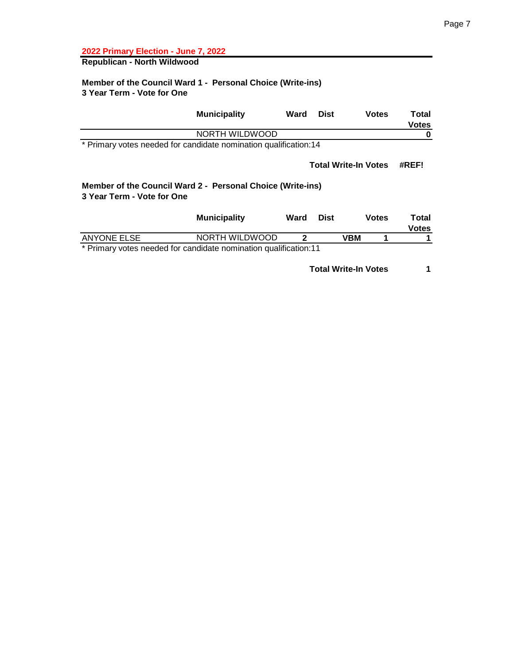# **Republican - North Wildwood**

#### **Member of the Council Ward 1 - Personal Choice (Write-ins) 3 Year Term - Vote for One**

| <b>Municipality</b>                                              | Ward | <b>Dist</b> | <b>Votes</b>                | Total<br><b>Votes</b> |
|------------------------------------------------------------------|------|-------------|-----------------------------|-----------------------|
| NORTH WILDWOOD                                                   |      |             |                             |                       |
| * Primary votes needed for candidate nomination qualification:14 |      |             |                             |                       |
|                                                                  |      |             | <b>Total Write-In Votes</b> | #REF!                 |

### **Member of the Council Ward 2 - Personal Choice (Write-ins) 3 Year Term - Vote for One**

|                                                                    | <b>Municipality</b> | Ward | Dist | <b>Votes</b> | Total<br><b>Votes</b> |
|--------------------------------------------------------------------|---------------------|------|------|--------------|-----------------------|
| ANYONE ELSE                                                        | NORTH WILDWOOD      |      |      | VBM          |                       |
| * Drimary votes needed for candidate nomination qualification:11 * |                     |      |      |              |                       |

\* Primary votes needed for candidate nomination qualification:11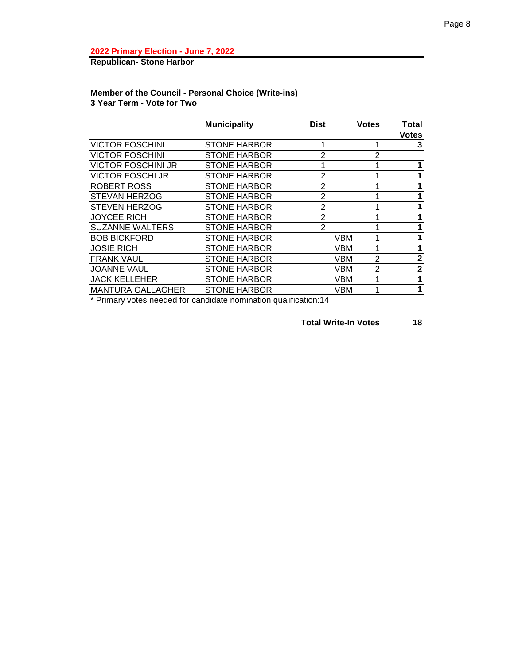**Republican- Stone Harbor**

# **Member of the Council - Personal Choice (Write-ins) 3 Year Term - Vote for Two**

|                           | <b>Municipality</b> | <b>Dist</b>    | <b>Votes</b>                 | Total<br><b>Votes</b> |
|---------------------------|---------------------|----------------|------------------------------|-----------------------|
| <b>VICTOR FOSCHINI</b>    | <b>STONE HARBOR</b> |                |                              | 3                     |
| <b>VICTOR FOSCHINI</b>    | <b>STONE HARBOR</b> | 2              | 2                            |                       |
| <b>VICTOR FOSCHINI JR</b> | <b>STONE HARBOR</b> |                |                              |                       |
| <b>VICTOR FOSCHI JR</b>   | <b>STONE HARBOR</b> | $\overline{2}$ |                              | 1                     |
| ROBERT ROSS               | <b>STONE HARBOR</b> | 2              |                              |                       |
| <b>STEVAN HERZOG</b>      | <b>STONE HARBOR</b> | $\overline{2}$ |                              |                       |
| <b>STEVEN HERZOG</b>      | <b>STONE HARBOR</b> | $\overline{2}$ |                              |                       |
| <b>JOYCEE RICH</b>        | <b>STONE HARBOR</b> | 2              |                              |                       |
| <b>SUZANNE WALTERS</b>    | <b>STONE HARBOR</b> | $\overline{2}$ |                              |                       |
| <b>BOB BICKFORD</b>       | <b>STONE HARBOR</b> |                | VBM                          |                       |
| <b>JOSIE RICH</b>         | <b>STONE HARBOR</b> |                | VBM                          |                       |
| <b>FRANK VAUL</b>         | <b>STONE HARBOR</b> |                | $\overline{2}$<br><b>VBM</b> | $\mathbf{2}$          |
| <b>JOANNE VAUL</b>        | <b>STONE HARBOR</b> |                | $\overline{2}$<br><b>VBM</b> | $\mathbf{2}$          |
| <b>JACK KELLEHER</b>      | <b>STONE HARBOR</b> |                | <b>VBM</b>                   | 1                     |
| <b>MANTURA GALLAGHER</b>  | <b>STONE HARBOR</b> |                | VBM                          | 1                     |

\* Primary votes needed for candidate nomination qualification:14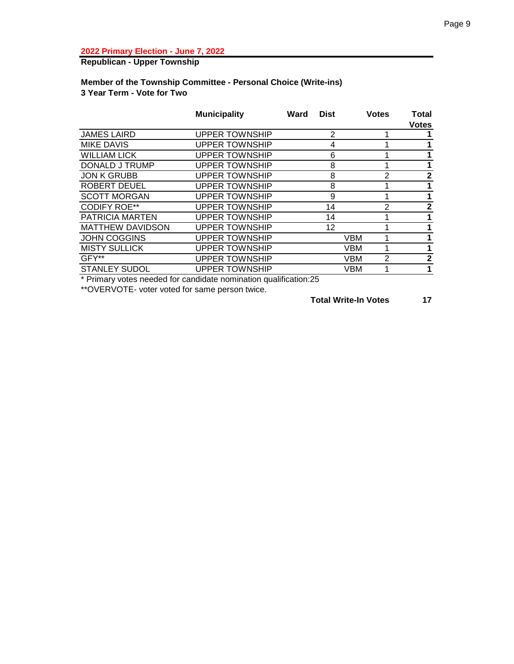# **Republican - Upper Township**

#### **Member of the Township Committee - Personal Choice (Write-ins) 3 Year Term - Vote for Two**

|                         | <b>Municipality</b>   | <b>Dist</b><br>Ward | <b>Votes</b>    | <b>Total</b><br><b>Votes</b> |
|-------------------------|-----------------------|---------------------|-----------------|------------------------------|
| <b>JAMES LAIRD</b>      | <b>UPPER TOWNSHIP</b> | $\overline{2}$      |                 |                              |
| <b>MIKE DAVIS</b>       | <b>UPPER TOWNSHIP</b> | 4                   |                 |                              |
| <b>WILLIAM LICK</b>     | <b>UPPER TOWNSHIP</b> | 6                   |                 |                              |
| DONALD J TRUMP          | <b>UPPER TOWNSHIP</b> | 8                   |                 |                              |
| <b>JON K GRUBB</b>      | <b>UPPER TOWNSHIP</b> | 8                   | $\mathcal{P}$   | $\mathbf{2}$                 |
| <b>ROBERT DEUEL</b>     | <b>UPPER TOWNSHIP</b> | 8                   |                 | 1                            |
| <b>SCOTT MORGAN</b>     | <b>UPPER TOWNSHIP</b> | 9                   |                 |                              |
| <b>CODIFY ROE**</b>     | <b>UPPER TOWNSHIP</b> | 14                  | 2               | $\mathbf{2}$                 |
| <b>PATRICIA MARTEN</b>  | <b>UPPER TOWNSHIP</b> | 14                  |                 | 1                            |
| <b>MATTHEW DAVIDSON</b> | <b>UPPER TOWNSHIP</b> | 12                  |                 | 1                            |
| JOHN COGGINS            | <b>UPPER TOWNSHIP</b> |                     | <b>VBM</b>      |                              |
| <b>MISTY SULLICK</b>    | <b>UPPER TOWNSHIP</b> |                     | VBM             |                              |
| GFY**                   | <b>UPPER TOWNSHIP</b> |                     | 2<br><b>VBM</b> | $\mathbf{2}$                 |
| <b>STANLEY SUDOL</b>    | <b>UPPER TOWNSHIP</b> |                     | VBM             | 1                            |
|                         |                       |                     |                 |                              |

\* Primary votes needed for candidate nomination qualification:25

\*\*OVERVOTE- voter voted for same person twice.